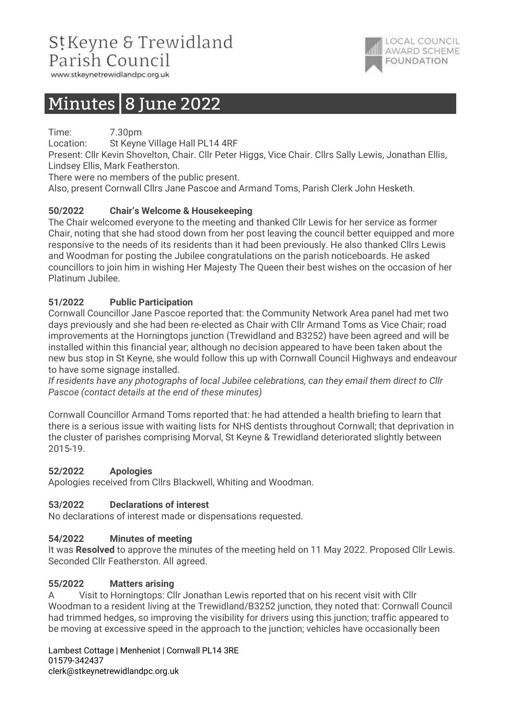# StKeyne & Trewidland Parish Council



www.stkeynetrewidlandpc.org.uk

# Minutes  $8$  June 2022

Time: 7.30pm

Location: St Keyne Village Hall PL14 4RF

Present: Cllr Kevin Shovelton, Chair. Cllr Peter Higgs, Vice Chair. Cllrs Sally Lewis, Jonathan Ellis, Lindsey Ellis, Mark Featherston.

There were no members of the public present.

Also, present Cornwall Cllrs Jane Pascoe and Armand Toms, Parish Clerk John Hesketh.

# 50/2022 Chair's Welcome & Housekeeping

The Chair welcomed everyone to the meeting and thanked Cllr Lewis for her service as former Chair, noting that she had stood down from her post leaving the council better equipped and more responsive to the needs of its residents than it had been previously. He also thanked Cllrs Lewis and Woodman for posting the Jubilee congratulations on the parish noticeboards. He asked councillors to join him in wishing Her Majesty The Queen their best wishes on the occasion of her Platinum Jubilee.

# 51/2022 Public Participation

Cornwall Councillor Jane Pascoe reported that: the Community Network Area panel had met two days previously and she had been re-elected as Chair with Cllr Armand Toms as Vice Chair; road improvements at the Horningtops junction (Trewidland and B3252) have been agreed and will be installed within this financial year; although no decision appeared to have been taken about the new bus stop in St Keyne, she would follow this up with Cornwall Council Highways and endeavour to have some signage installed.

If residents have any photographs of local Jubilee celebrations, can they email them direct to Cllr Pascoe (contact details at the end of these minutes)

Cornwall Councillor Armand Toms reported that: he had attended a health briefing to learn that there is a serious issue with waiting lists for NHS dentists throughout Cornwall; that deprivation in the cluster of parishes comprising Morval, St Keyne & Trewidland deteriorated slightly between 2015-19.

## 52/2022 Apologies

Apologies received from Cllrs Blackwell, Whiting and Woodman.

## 53/2022 Declarations of interest

No declarations of interest made or dispensations requested.

## 54/2022 Minutes of meeting

It was Resolved to approve the minutes of the meeting held on 11 May 2022. Proposed Cllr Lewis. Seconded Cllr Featherston. All agreed.

### 55/2022 Matters arising

A Visit to Horningtops: Cllr Jonathan Lewis reported that on his recent visit with Cllr Woodman to a resident living at the Trewidland/B3252 junction, they noted that: Cornwall Council had trimmed hedges, so improving the visibility for drivers using this junction; traffic appeared to be moving at excessive speed in the approach to the junction; vehicles have occasionally been

Lambest Cottage | Menheniot | Cornwall PL14 3RE 01579-342437 clerk@stkeynetrewidlandpc.org.uk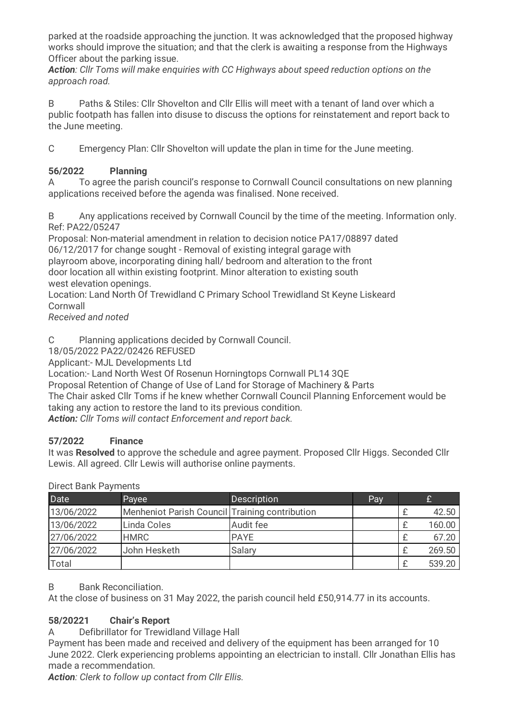parked at the roadside approaching the junction. It was acknowledged that the proposed highway works should improve the situation; and that the clerk is awaiting a response from the Highways Officer about the parking issue.

Action: Cllr Toms will make enquiries with CC Highways about speed reduction options on the approach road.

B Paths & Stiles: Cllr Shovelton and Cllr Ellis will meet with a tenant of land over which a public footpath has fallen into disuse to discuss the options for reinstatement and report back to the June meeting.

C Emergency Plan: Cllr Shovelton will update the plan in time for the June meeting.

# 56/2022 Planning

A To agree the parish council's response to Cornwall Council consultations on new planning applications received before the agenda was finalised. None received.

B Any applications received by Cornwall Council by the time of the meeting. Information only. Ref: PA22/05247

Proposal: Non-material amendment in relation to decision notice PA17/08897 dated 06/12/2017 for change sought - Removal of existing integral garage with playroom above, incorporating dining hall/ bedroom and alteration to the front door location all within existing footprint. Minor alteration to existing south west elevation openings.

Location: Land North Of Trewidland C Primary School Trewidland St Keyne Liskeard **Cornwall** 

Received and noted

C Planning applications decided by Cornwall Council.

18/05/2022 PA22/02426 REFUSED

Applicant:- MJL Developments Ltd

Location:- Land North West Of Rosenun Horningtops Cornwall PL14 3QE

Proposal Retention of Change of Use of Land for Storage of Machinery & Parts

The Chair asked Cllr Toms if he knew whether Cornwall Council Planning Enforcement would be taking any action to restore the land to its previous condition.

Action: Cllr Toms will contact Enforcement and report back.

## 57/2022 Finance

It was Resolved to approve the schedule and agree payment. Proposed Cllr Higgs. Seconded Cllr Lewis. All agreed. Cllr Lewis will authorise online payments.

| Date       | Payee                                          | <b>Description</b> | Pay |        |
|------------|------------------------------------------------|--------------------|-----|--------|
| 13/06/2022 | Menheniot Parish Council Training contribution |                    |     | 42.50  |
| 13/06/2022 | Linda Coles                                    | Audit fee          |     | 160.00 |
| 27/06/2022 | <b>HMRC</b>                                    | <b>PAYE</b>        |     | 67.20  |
| 27/06/2022 | John Hesketh                                   | Salary             |     | 269.50 |
| Total      |                                                |                    |     | 539.20 |

### Direct Bank Payments

### B Bank Reconciliation.

At the close of business on 31 May 2022, the parish council held £50,914.77 in its accounts.

# 58/20221 Chair's Report

A Defibrillator for Trewidland Village Hall

Payment has been made and received and delivery of the equipment has been arranged for 10 June 2022. Clerk experiencing problems appointing an electrician to install. Cllr Jonathan Ellis has made a recommendation.

Action: Clerk to follow up contact from Cllr Ellis.